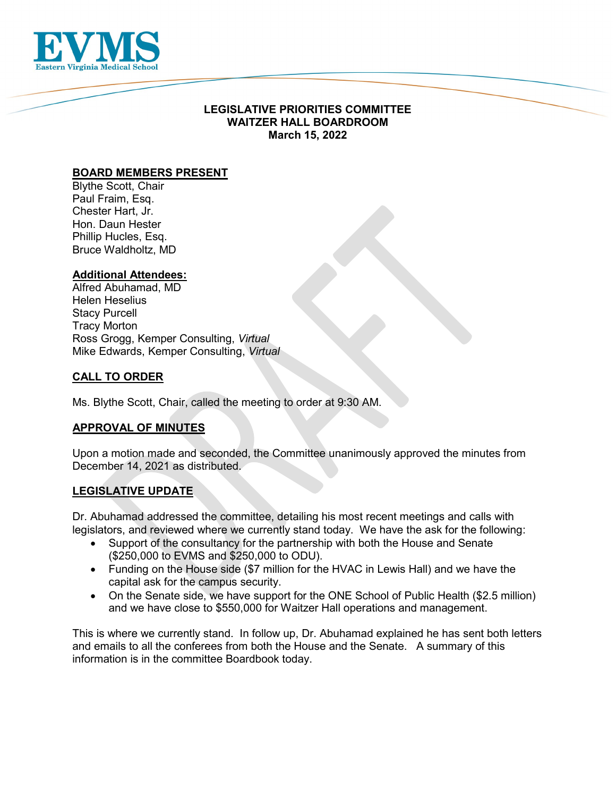

# **LEGISLATIVE PRIORITIES COMMITTEE WAITZER HALL BOARDROOM March 15, 2022**

# **BOARD MEMBERS PRESENT**

Blythe Scott, Chair Paul Fraim, Esq. Chester Hart, Jr. Hon. Daun Hester Phillip Hucles, Esq. Bruce Waldholtz, MD

### **Additional Attendees:**

Alfred Abuhamad, MD Helen Heselius Stacy Purcell Tracy Morton Ross Grogg, Kemper Consulting, *Virtual* Mike Edwards, Kemper Consulting, *Virtual*

### **CALL TO ORDER**

Ms. Blythe Scott, Chair, called the meeting to order at 9:30 AM.

# **APPROVAL OF MINUTES**

Upon a motion made and seconded, the Committee unanimously approved the minutes from December 14, 2021 as distributed.

### **LEGISLATIVE UPDATE**

Dr. Abuhamad addressed the committee, detailing his most recent meetings and calls with legislators, and reviewed where we currently stand today. We have the ask for the following:

- Support of the consultancy for the partnership with both the House and Senate (\$250,000 to EVMS and \$250,000 to ODU).
- Funding on the House side (\$7 million for the HVAC in Lewis Hall) and we have the capital ask for the campus security.
- On the Senate side, we have support for the ONE School of Public Health (\$2.5 million) and we have close to \$550,000 for Waitzer Hall operations and management.

This is where we currently stand. In follow up, Dr. Abuhamad explained he has sent both letters and emails to all the conferees from both the House and the Senate. A summary of this information is in the committee Boardbook today.